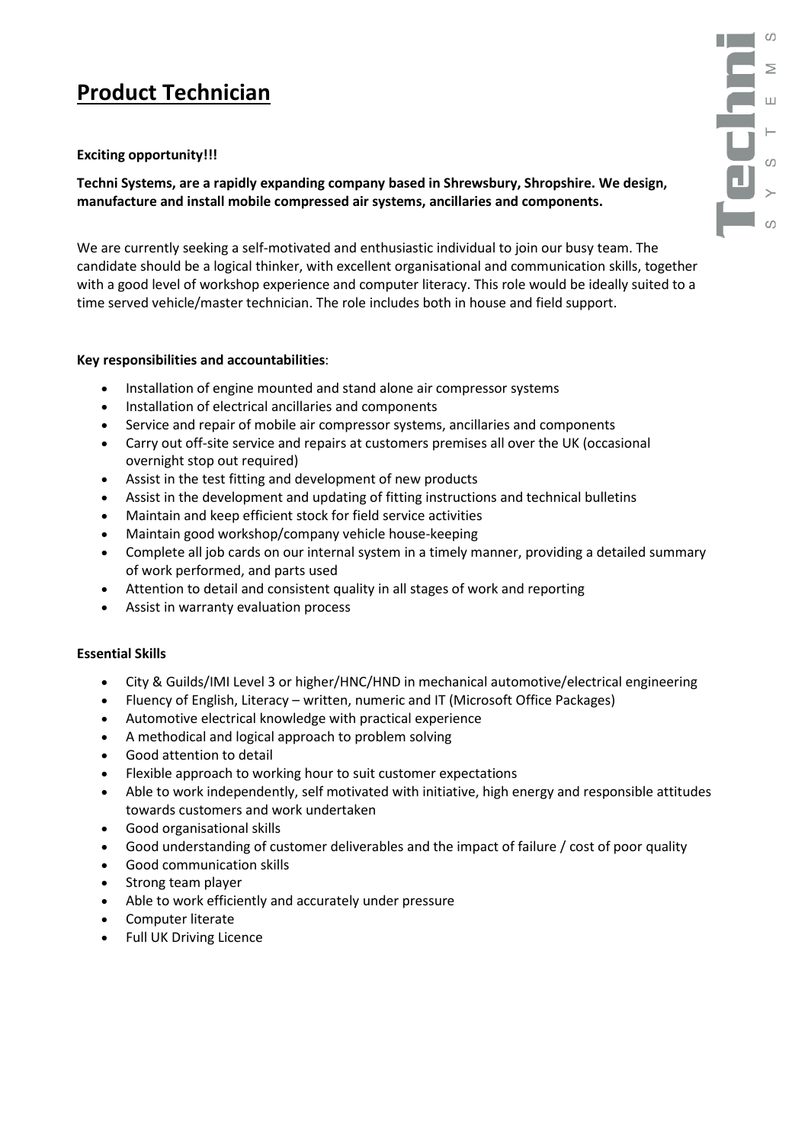# **Product Technician**

## **Exciting opportunity!!!**

**Techni Systems, are a rapidly expanding company based in Shrewsbury, Shropshire. We design, manufacture and install mobile compressed air systems, ancillaries and components.**

We are currently seeking a self-motivated and enthusiastic individual to join our busy team. The candidate should be a logical thinker, with excellent organisational and communication skills, together with a good level of workshop experience and computer literacy. This role would be ideally suited to a time served vehicle/master technician. The role includes both in house and field support.

## **Key responsibilities and accountabilities**:

- Installation of engine mounted and stand alone air compressor systems
- Installation of electrical ancillaries and components
- Service and repair of mobile air compressor systems, ancillaries and components
- Carry out off-site service and repairs at customers premises all over the UK (occasional overnight stop out required)
- Assist in the test fitting and development of new products
- Assist in the development and updating of fitting instructions and technical bulletins
- Maintain and keep efficient stock for field service activities
- Maintain good workshop/company vehicle house-keeping
- Complete all job cards on our internal system in a timely manner, providing a detailed summary of work performed, and parts used
- Attention to detail and consistent quality in all stages of work and reporting
- Assist in warranty evaluation process

## **Essential Skills**

- City & Guilds/IMI Level 3 or higher/HNC/HND in mechanical automotive/electrical engineering
- Fluency of English, Literacy written, numeric and IT (Microsoft Office Packages)
- Automotive electrical knowledge with practical experience
- A methodical and logical approach to problem solving
- Good attention to detail
- Flexible approach to working hour to suit customer expectations
- Able to work independently, self motivated with initiative, high energy and responsible attitudes towards customers and work undertaken
- Good organisational skills
- Good understanding of customer deliverables and the impact of failure / cost of poor quality
- Good communication skills
- Strong team player
- Able to work efficiently and accurately under pressure
- Computer literate
- Full UK Driving Licence